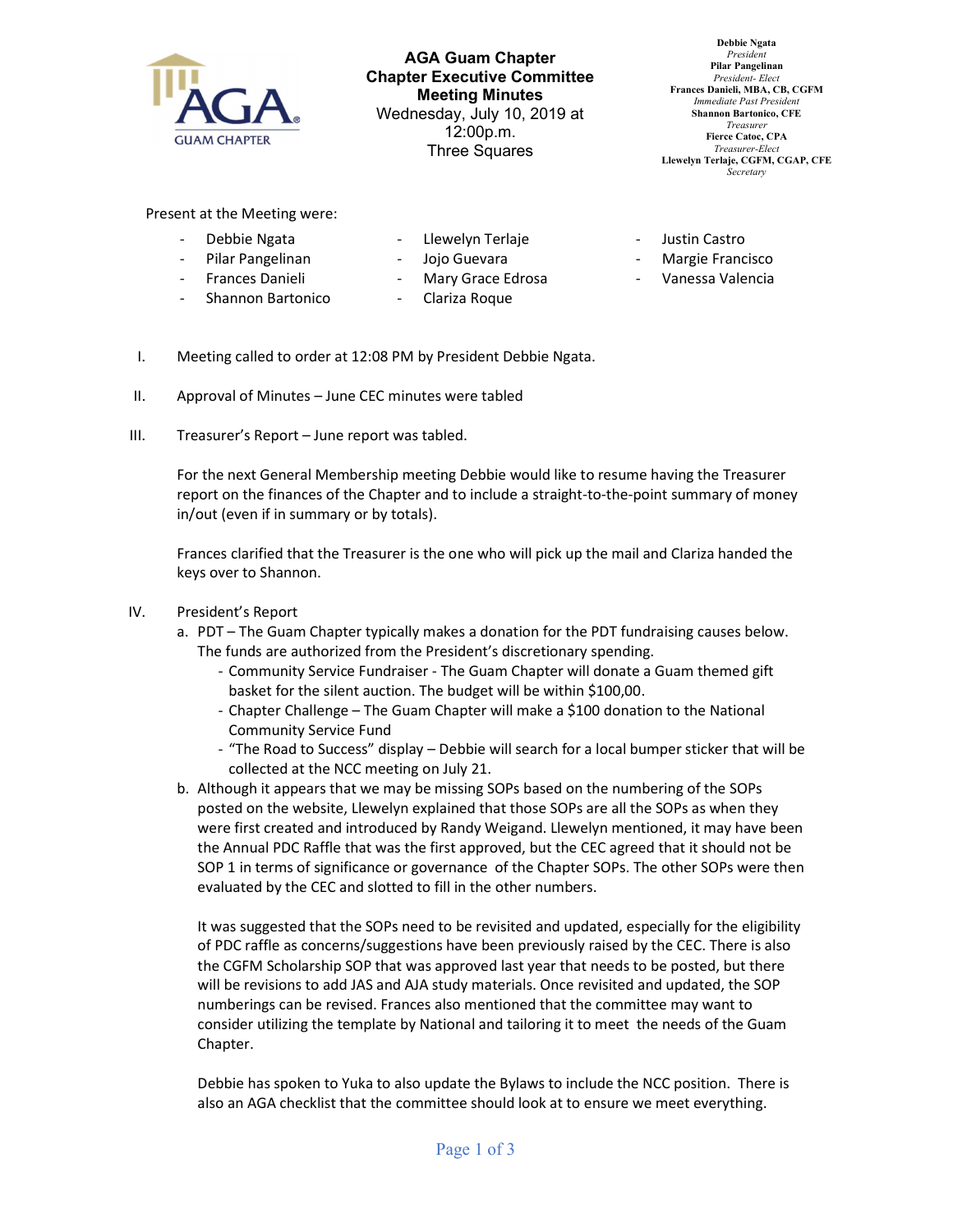

AGA Guam Chapter Chapter Executive Committee Meeting Minutes Wednesday, July 10, 2019 at 12:00p.m. Three Squares

Debbie Ngata President Pilar Pangelinan President- Elect Frances Danieli, MBA, CB, CGFM Immediate Past Presiden Shannon Bartonico, CFE Treasurer Fierce Catoc, CPA Treasurer-Elect Llewelyn Terlaje, CGFM, CGAP, CFE **Secretary** 

Present at the Meeting were:

- Debbie Ngata
- Llewelyn Terlaje
- Pilar Pangelinan - Frances Danieli
- Jojo Guevara
- Mary Grace Edrosa
- Shannon Bartonico - Clariza Roque
- Justin Castro
- Margie Francisco
- Vanessa Valencia
- I. Meeting called to order at 12:08 PM by President Debbie Ngata.
- II. Approval of Minutes June CEC minutes were tabled
- III. Treasurer's Report June report was tabled.

For the next General Membership meeting Debbie would like to resume having the Treasurer report on the finances of the Chapter and to include a straight-to-the-point summary of money in/out (even if in summary or by totals).

Frances clarified that the Treasurer is the one who will pick up the mail and Clariza handed the keys over to Shannon.

- IV. President's Report
	- a. PDT The Guam Chapter typically makes a donation for the PDT fundraising causes below. The funds are authorized from the President's discretionary spending.
		- Community Service Fundraiser The Guam Chapter will donate a Guam themed gift basket for the silent auction. The budget will be within \$100,00.
		- Chapter Challenge The Guam Chapter will make a \$100 donation to the National Community Service Fund
		- "The Road to Success" display Debbie will search for a local bumper sticker that will be collected at the NCC meeting on July 21.
	- b. Although it appears that we may be missing SOPs based on the numbering of the SOPs posted on the website, Llewelyn explained that those SOPs are all the SOPs as when they were first created and introduced by Randy Weigand. Llewelyn mentioned, it may have been the Annual PDC Raffle that was the first approved, but the CEC agreed that it should not be SOP 1 in terms of significance or governance of the Chapter SOPs. The other SOPs were then evaluated by the CEC and slotted to fill in the other numbers.

It was suggested that the SOPs need to be revisited and updated, especially for the eligibility of PDC raffle as concerns/suggestions have been previously raised by the CEC. There is also the CGFM Scholarship SOP that was approved last year that needs to be posted, but there will be revisions to add JAS and AJA study materials. Once revisited and updated, the SOP numberings can be revised. Frances also mentioned that the committee may want to consider utilizing the template by National and tailoring it to meet the needs of the Guam Chapter.

Debbie has spoken to Yuka to also update the Bylaws to include the NCC position. There is also an AGA checklist that the committee should look at to ensure we meet everything.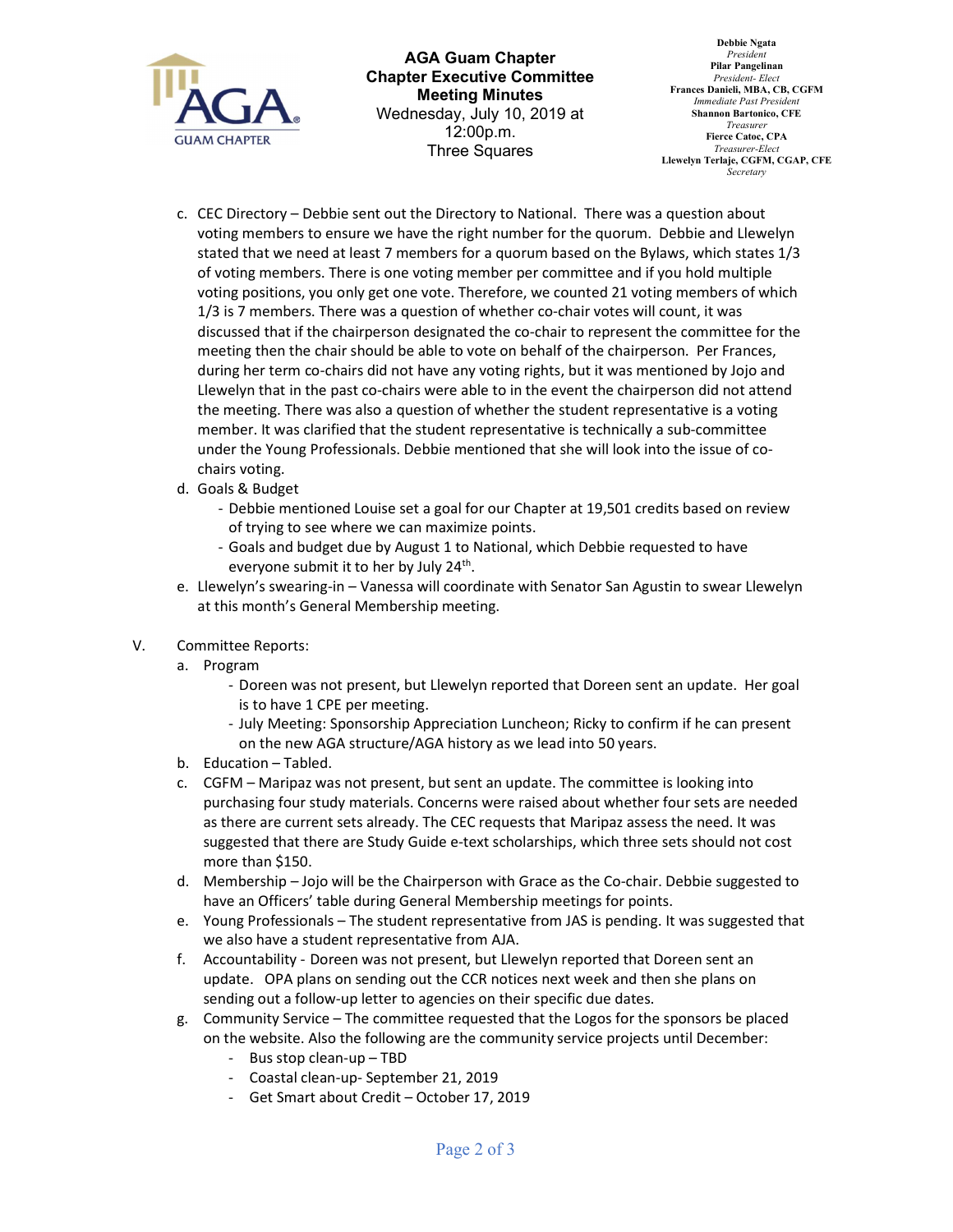

AGA Guam Chapter Chapter Executive Committee Meeting Minutes Wednesday, July 10, 2019 at 12:00p.m. Three Squares

Debbie Ngata President Pilar Pangelinan President- Elect Frances Danieli, MBA, CB, CGFM Immediate Past Presiden Shannon Bartonico, CFE Treasurer Fierce Catoc, CPA Treasurer-Elect Llewelyn Terlaje, CGFM, CGAP, CFE **Secretary** 

- c. CEC Directory Debbie sent out the Directory to National. There was a question about voting members to ensure we have the right number for the quorum. Debbie and Llewelyn stated that we need at least 7 members for a quorum based on the Bylaws, which states 1/3 of voting members. There is one voting member per committee and if you hold multiple voting positions, you only get one vote. Therefore, we counted 21 voting members of which 1/3 is 7 members. There was a question of whether co-chair votes will count, it was discussed that if the chairperson designated the co-chair to represent the committee for the meeting then the chair should be able to vote on behalf of the chairperson. Per Frances, during her term co-chairs did not have any voting rights, but it was mentioned by Jojo and Llewelyn that in the past co-chairs were able to in the event the chairperson did not attend the meeting. There was also a question of whether the student representative is a voting member. It was clarified that the student representative is technically a sub-committee under the Young Professionals. Debbie mentioned that she will look into the issue of cochairs voting.
- d. Goals & Budget
	- Debbie mentioned Louise set a goal for our Chapter at 19,501 credits based on review of trying to see where we can maximize points.
	- Goals and budget due by August 1 to National, which Debbie requested to have everyone submit it to her by July 24<sup>th</sup>.
- e. Llewelyn's swearing-in Vanessa will coordinate with Senator San Agustin to swear Llewelyn at this month's General Membership meeting.
- V. Committee Reports:
	- a. Program
		- Doreen was not present, but Llewelyn reported that Doreen sent an update. Her goal is to have 1 CPE per meeting.
		- July Meeting: Sponsorship Appreciation Luncheon; Ricky to confirm if he can present on the new AGA structure/AGA history as we lead into 50 years.
	- b. Education Tabled.
	- c. CGFM Maripaz was not present, but sent an update. The committee is looking into purchasing four study materials. Concerns were raised about whether four sets are needed as there are current sets already. The CEC requests that Maripaz assess the need. It was suggested that there are Study Guide e-text scholarships, which three sets should not cost more than \$150.
	- d. Membership Jojo will be the Chairperson with Grace as the Co-chair. Debbie suggested to have an Officers' table during General Membership meetings for points.
	- e. Young Professionals The student representative from JAS is pending. It was suggested that we also have a student representative from AJA.
	- f. Accountability Doreen was not present, but Llewelyn reported that Doreen sent an update. OPA plans on sending out the CCR notices next week and then she plans on sending out a follow-up letter to agencies on their specific due dates.
	- g. Community Service The committee requested that the Logos for the sponsors be placed on the website. Also the following are the community service projects until December:
		- Bus stop clean-up TBD
		- Coastal clean-up- September 21, 2019
		- Get Smart about Credit October 17, 2019